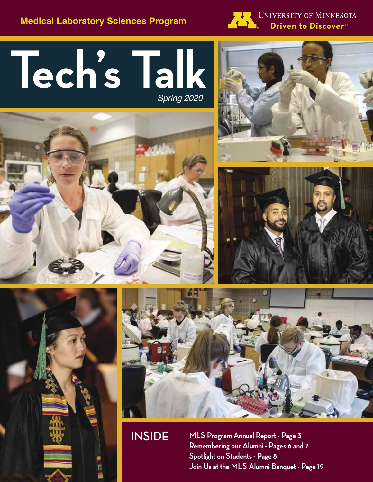**Medical Laboratory Sciences Program**



UNIVERSITY OF MINNESOTA Driven to Discover<sup>®</sup>

# **Tech's Talk** *Spring 2020*











**INSIDE MLS Program Annual Report - Page 3 Remembering our Alumni - Pages 6 and 7 Spotlight on Students - Page 8 Join Us at the MLS Alumni Banquet - Page 19**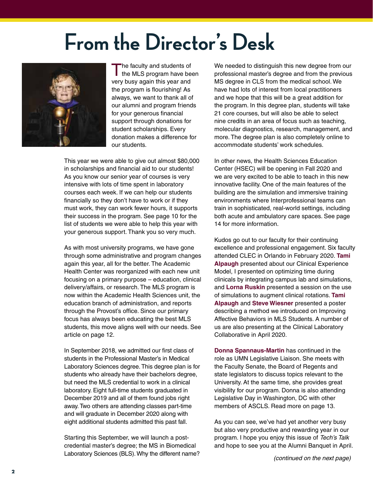# **From the Director's Desk**



The faculty and students of<br>the MLS program have been very busy again this year and the program is flourishing! As always, we want to thank all of our alumni and program friends for your generous financial support through donations for student scholarships. Every donation makes a difference for our students.

This year we were able to give out almost \$80,000 in scholarships and financial aid to our students! As you know our senior year of courses is very intensive with lots of time spent in laboratory courses each week. If we can help our students financially so they don't have to work or if they must work, they can work fewer hours, it supports their success in the program. See page 10 for the list of students we were able to help this year with your generous support. Thank you so very much.

As with most university programs, we have gone through some administrative and program changes again this year, all for the better. The Academic Health Center was reorganized with each new unit focusing on a primary purpose – education, clinical delivery/affairs, or research. The MLS program is now within the Academic Health Sciences unit, the education branch of administration, and reports through the Provost's office. Since our primary focus has always been educating the best MLS students, this move aligns well with our needs. See article on page 12.

In September 2018, we admitted our first class of students in the Professional Master's in Medical Laboratory Sciences degree. This degree plan is for students who already have their bachelors degree, but need the MLS credential to work in a clinical laboratory. Eight full-time students graduated in December 2019 and all of them found jobs right away. Two others are attending classes part-time and will graduate in December 2020 along with eight additional students admitted this past fall.

Starting this September, we will launch a postcredential master's degree; the MS in Biomedical Laboratory Sciences (BLS). Why the different name? We needed to distinguish this new degree from our professional master's degree and from the previous MS degree in CLS from the medical school. We have had lots of interest from local practitioners and we hope that this will be a great addition for the program. In this degree plan, students will take 21 core courses, but will also be able to select nine credits in an area of focus such as teaching, molecular diagnostics, research, management, and more. The degree plan is also completely online to accommodate students' work schedules.

In other news, the Health Sciences Education Center (HSEC) will be opening in Fall 2020 and we are very excited to be able to teach in this new innovative facility. One of the main features of the building are the simulation and immersive training environments where Interprofessional teams can train in sophisticated, real-world settings, including both acute and ambulatory care spaces. See page 14 for more information.

Kudos go out to our faculty for their continuing excellence and professional engagement. Six faculty attended CLEC in Orlando in February 2020. **Tami Alpaugh** presented about our Clinical Experience Model, I presented on optimizing time during clinicals by integrating campus lab and simulations, and **Lorna Ruskin** presented a session on the use of simulations to augment clinical rotations. **Tami Alpaugh** and **Steve Wiesner** presented a poster describing a method we introduced on Improving Affective Behaviors in MLS Students. A number of us are also presenting at the Clinical Laboratory Collaborative in April 2020.

**Donna Spannaus-Martin** has continued in the role as UMN Legislative Liaison. She meets with the Faculty Senate, the Board of Regents and state legislators to discuss topics relevant to the University. At the same time, she provides great visibility for our program. Donna is also attending Legislative Day in Washington, DC with other members of ASCLS. Read more on page 13.

As you can see, we've had yet another very busy but also very productive and rewarding year in our program. I hope you enjoy this issue of *Tech's Talk* and hope to see you at the Alumni Banquet in April.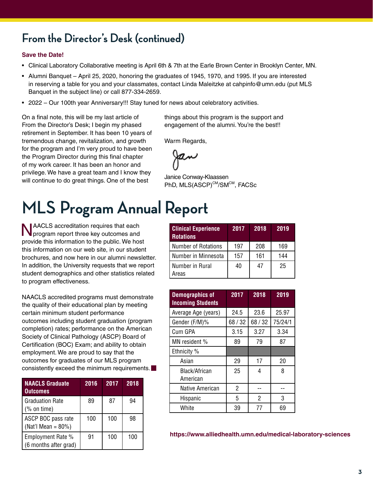### **From the Director's Desk (continued)**

#### **Save the Date!**

- • Clinical Laboratory Collaborative meeting is April 6th & 7th at the Earle Brown Center in Brooklyn Center, MN.
- • Alumni Banquet April 25, 2020, honoring the graduates of 1945, 1970, and 1995. If you are interested in reserving a table for you and your classmates, contact Linda Maleitzke at cahpinfo@umn.edu (put MLS Banquet in the subject line) or call 877-334-2659.
- • 2022 Our 100th year Anniversary!!! Stay tuned for news about celebratory activities.

On a final note, this will be my last article of From the Director's Desk; I begin my phased retirement in September. It has been 10 years of tremendous change, revitalization, and growth for the program and I'm very proud to have been the Program Director during this final chapter of my work career. It has been an honor and privilege. We have a great team and I know they will continue to do great things. One of the best

# **MLS Program Annual Report**

NAACLS accreditation requires that each program report three key outcomes and provide this information to the public. We host this information on our web site, in our student brochures, and now here in our alumni newsletter. In addition, the University requests that we report student demographics and other statistics related to program effectiveness.

NAACLS accredited programs must demonstrate the quality of their educational plan by meeting certain minimum student performance outcomes including student graduation (program completion) rates; performance on the American Society of Clinical Pathology (ASCP) Board of Certification (BOC) Exam; and ability to obtain employment. We are proud to say that the outcomes for graduates of our MLS program consistently exceed the minimum requirements.

| <b>NAACLS Graduate</b><br><b>Outcomes</b>                                 | 2016 | 2017 | 2018 |
|---------------------------------------------------------------------------|------|------|------|
| <b>Graduation Rate</b><br>$(% \mathcal{L}^{\prime }\mathcal{M})$ on time) | 89   | 87   | 94   |
| ASCP BOC pass rate<br>(Nat'l Mean = $80\%$ )                              | 100  | 100  | 98   |
| Employment Rate %<br>(6 months after grad)                                | 91   | 100  | 100  |

things about this program is the support and engagement of the alumni. You're the best!!

Warm Regards,

Janice Conway-Klaassen PhD, MLS(ASCP)<sup>CM</sup>/SM<sup>CM</sup>, FACSc

| <b>Clinical Experience</b><br><b>Rotations</b> | 2017 | 2018 | 2019 |
|------------------------------------------------|------|------|------|
| <b>Number of Rotations</b>                     | 197  | 208  | 169  |
| Number in Minnesota                            | 157  | 161  | 144  |
| Number in Rural<br>Areas                       | 40   | 47   | 25   |

| <b>Demographics of</b><br><b>Incoming Students</b> | 2017    | 2018    | 2019    |
|----------------------------------------------------|---------|---------|---------|
| Average Age (years)                                | 24.5    | 23.6    | 25.97   |
| Gender (F/M)%                                      | 68 / 32 | 68 / 32 | 75/24/1 |
| Cum GPA                                            | 3.15    | 3.27    | 3.34    |
| MN resident %                                      | 89      | 79      | 87      |
| Ethnicity %                                        |         |         |         |
| Asian                                              | 29      | 17      | 20      |
| Black/African<br>American                          | 25      | 4       | 8       |
| Native American                                    | 2       |         |         |
| Hispanic                                           | 5       | 2       | 3       |
| White                                              | 39      | 77      | 69      |

**https://www.alliedhealth.umn.edu/medical-laboratory-sciences**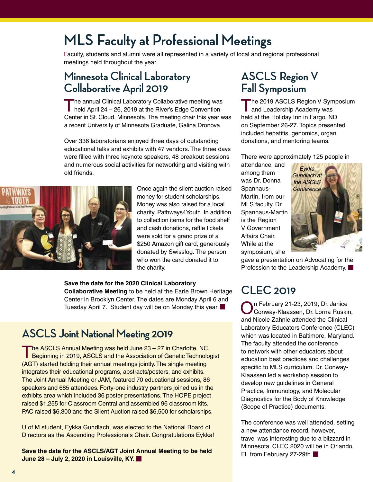### **MLS Faculty at Professional Meetings**

Faculty, students and alumni were all represented in a variety of local and regional professional meetings held throughout the year.

### **Minnesota Clinical Laboratory Collaborative April 2019**

The annual Clinical Laboratory Collaborative meeting was held April 24 – 26, 2019 at the River's Edge Convention Center in St. Cloud, Minnesota. The meeting chair this year was a recent University of Minnesota Graduate, Galina Dronova.

Over 336 laboratorians enjoyed three days of outstanding educational talks and exhibits with 47 vendors. The three days were filled with three keynote speakers, 48 breakout sessions and numerous social activities for networking and visiting with old friends.



Once again the silent auction raised money for student scholarships. Money was also raised for a local charity, Pathways4Youth. In addition to collection items for the food shelf and cash donations, raffle tickets were sold for a grand prize of a \$250 Amazon gift card, generously donated by Swisslog. The person who won the card donated it to the charity.

**Save the date for the 2020 Clinical Laboratory Collaborative Meeting** to be held at the Earle Brown Heritage Center in Brooklyn Center. The dates are Monday April 6 and Tuesday April 7. Student day will be on Monday this year.

### **ASCLS Joint National Meeting 2019**

The ASCLS Annual Meeting was held June 23 – 27 in Charlotte, NC.<br>Beginning in 2019, ASCLS and the Association of Genetic Technologist (AGT) started holding their annual meetings jointly. The single meeting integrates their educational programs, abstracts/posters, and exhibits. The Joint Annual Meeting or JAM, featured 70 educational sessions, 86 speakers and 685 attendees. Forty-one industry partners joined us in the exhibits area which included 36 poster presentations. The HOPE project raised \$1,255 for Classroom Central and assembled 96 classroom kits. PAC raised \$6,300 and the Silent Auction raised \$6,500 for scholarships.

U of M student, Eykka Gundlach, was elected to the National Board of Directors as the Ascending Professionals Chair. Congratulations Eykka!

**Save the date for the ASCLS/AGT Joint Annual Meeting to be held June 28 – July 2, 2020 in Louisville, KY.**

### **ASCLS Region V Fall Symposium**

The 2019 ASCLS Region V Symposium and Leadership Academy was held at the Holiday Inn in Fargo, ND on September 26-27. Topics presented included hepatitis, genomics, organ donations, and mentoring teams.

There were approximately 125 people in

attendance, and among them was Dr. Donna Spannaus-Martin, from our MLS faculty. Dr. Spannaus-Martin is the Region V Government Affairs Chair. While at the symposium, she



gave a presentation on Advocating for the Profession to the Leadership Academy.

### **CLEC 2019**

n February 21-23, 2019, Dr. Janice Conway-Klaassen, Dr. Lorna Ruskin, and Nicole Zahnle attended the Clinical Laboratory Educators Conference (CLEC) which was located in Baltimore, Maryland. The faculty attended the conference to network with other educators about education best practices and challenges specific to MLS curriculum. Dr. Conway-Klaassen led a workshop session to develop new guidelines in General Practice, Immunology, and Molecular Diagnostics for the Body of Knowledge (Scope of Practice) documents.

The conference was well attended, setting a new attendance record, however, travel was interesting due to a blizzard in Minnesota. CLEC 2020 will be in Orlando, FL from February 27-29th.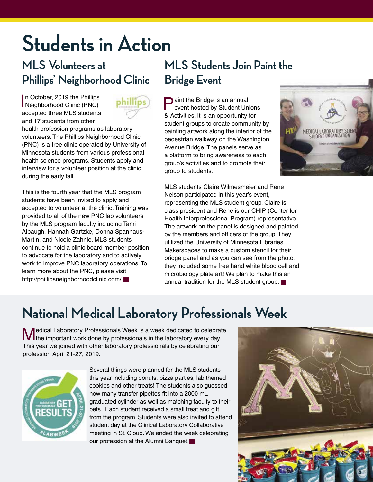# **Students in Action**

### **MLS Volunteers at Phillips' Neighborhood Clinic**

In October, 2019 the Phillips<br>Neighborhood Clinic (PNC) n October, 2019 the Phillips accepted three MLS students and 17 students from other



health profession programs as laboratory volunteers. The Phillips Neighborhood Clinic (PNC) is a free clinic operated by University of Minnesota students from various professional health science programs. Students apply and interview for a volunteer position at the clinic during the early fall.

This is the fourth year that the MLS program students have been invited to apply and accepted to volunteer at the clinic. Training was provided to all of the new PNC lab volunteers by the MLS program faculty including Tami Alpaugh, Hannah Gartzke, Donna Spannaus-Martin, and Nicole Zahnle. MLS students continue to hold a clinic board member position to advocate for the laboratory and to actively work to improve PNC laboratory operations. To learn more about the PNC, please visit http://phillipsneighborhoodclinic.com/.

### **MLS Students Join Paint the Bridge Event**

**Paint the Bridge is an annual** event hosted by Student Unions & Activities. It is an opportunity for student groups to create community by painting artwork along the interior of the pedestrian walkway on the Washington Avenue Bridge. The panels serve as a platform to bring awareness to each group's activities and to promote their group to students.



MLS students Claire Wilmesmeier and Rene Nelson participated in this year's event, representing the MLS student group. Claire is class president and Rene is our CHIP (Center for Health Interprofessional Program) representative. The artwork on the panel is designed and painted by the members and officers of the group. They utilized the University of Minnesota Libraries Makerspaces to make a custom stencil for their bridge panel and as you can see from the photo, they included some free hand white blood cell and microbiology plate art! We plan to make this an annual tradition for the MLS student group.

## **National Medical Laboratory Professionals Week**

Medical Laboratory Professionals Week is a week dedicated to celebrate<br>
Medical Laboratory every day.<br>
Medical work done by professionals in the laboratory every day. This year we joined with other laboratory professionals by celebrating our profession April 21-27, 2019.



Several things were planned for the MLS students this year including donuts, pizza parties, lab themed cookies and other treats! The students also guessed how many transfer pipettes fit into a 2000 mL graduated cylinder as well as matching faculty to their pets. Each student received a small treat and gift from the program. Students were also invited to attend student day at the Clinical Laboratory Collaborative meeting in St. Cloud. We ended the week celebrating our profession at the Alumni Banquet.

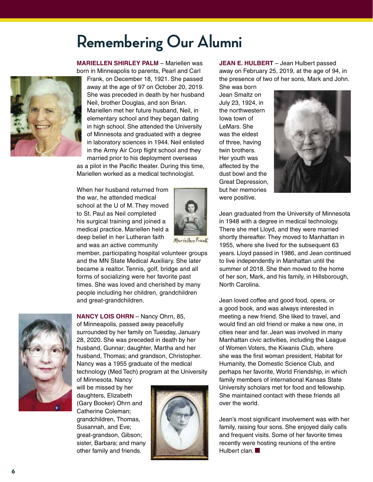# **Remembering Our Alumni**

**MARIELLEN SHIRLEY PALM** – Mariellen was born in Minneapolis to parents, Pearl and Carl



Frank, on December 18, 1921. She passed away at the age of 97 on October 20, 2019. She was preceded in death by her husband Neil, brother Douglas, and son Brian. Mariellen met her future husband, Neil, in elementary school and they began dating in high school. She attended the University of Minnesota and graduated with a degree in laboratory sciences in 1944. Neil enlisted in the Army Air Corp flight school and they married prior to his deployment overseas as a pilot in the Pacific theater. During this time, Mariellen worked as a medical technologist.

When her husband returned from the war, he attended medical school at the U of M. They moved to St. Paul as Neil completed his surgical training and joined a medical practice. Mariellen held a deep belief in her Lutheran faith and was an active community



member, participating hospital volunteer groups and the MN State Medical Auxiliary. She later became a realtor. Tennis, golf, bridge and all forms of socializing were her favorite past times. She was loved and cherished by many people including her children, grandchildren and great-grandchildren.



**NANCY LOIS OHRN** – Nancy Ohrn, 85, of Minneapolis, passed away peacefully surrounded by her family on Tuesday, January 28, 2020. She was preceded in death by her husband, Gunnar; daughter, Martha and her husband, Thomas; and grandson, Christopher. Nancy was a 1955 graduate of the medical technology (Med Tech) program at the University of Minnesota. Nancy

will be missed by her daughters, Elizabeth (Gary Booker) Ohrn and Catherine Coleman; grandchildren, Thomas, Susannah, and Eve; great-grandson, Gibson; sister, Barbara; and many other family and friends.



**JEAN E. HULBERT** – Jean Hulbert passed away on February 25, 2019, at the age of 94, in the presence of two of her sons, Mark and John. She was born

Jean Smaltz on July 23, 1924, in the northwestern Iowa town of LeMars. She was the eldest of three, having twin brothers. Her youth was affected by the dust bowl and the Great Depression, but her memories were positive.



Jean graduated from the University of Minnesota in 1948 with a degree in medical technology. There she met Lloyd, and they were married shortly thereafter. They moved to Manhattan in 1955, where she lived for the subsequent 63 years. Lloyd passed in 1986, and Jean continued to live independently in Manhattan until the summer of 2018. She then moved to the home of her son, Mark, and his family, in Hillsborough, North Carolina.

Jean loved coffee and good food, opera, or a good book, and was always interested in meeting a new friend. She liked to travel, and would find an old friend or make a new one, in cities near and far. Jean was involved in many Manhattan civic activities, including the League of Women Voters, the Kiwanis Club, where she was the first woman president, Habitat for Humanity, the Domestic Science Club, and perhaps her favorite, World Friendship, in which family members of international Kansas State University scholars met for food and fellowship. She maintained contact with these friends all over the world.

Jean's most significant involvement was with her family, raising four sons. She enjoyed daily calls and frequent visits. Some of her favorite times recently were hosting reunions of the entire Hulbert clan.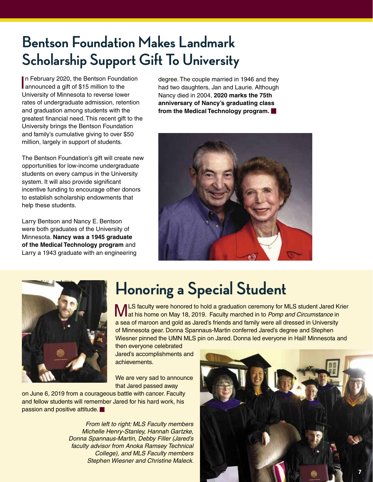# **Bentson Foundation Makes Landmark Scholarship Support Gift To University**

In February 2020, the Bentson Founda<br>
announced a gift of \$15 million to the n February 2020, the Bentson Foundation University of Minnesota to reverse lower rates of undergraduate admission, retention and graduation among students with the greatest financial need. This recent gift to the University brings the Bentson Foundation and family's cumulative giving to over \$50 million, largely in support of students.

The Bentson Foundation's gift will create new opportunities for low-income undergraduate students on every campus in the University system. It will also provide significant incentive funding to encourage other donors to establish scholarship endowments that help these students.

Larry Bentson and Nancy E. Bentson were both graduates of the University of Minnesota. **Nancy was a 1945 graduate of the Medical Technology program** and Larry a 1943 graduate with an engineering degree. The couple married in 1946 and they had two daughters, Jan and Laurie. Although Nancy died in 2004, **2020 marks the 75th anniversary of Nancy's graduating class from the Medical Technology program.**





# **Honoring a Special Student**

MLS faculty were honored to hold a graduation ceremony for MLS student Jared Krier at his home on May 18, 2019. Faculty marched in to *Pomp and Circumstance* in a sea of maroon and gold as Jared's friends and family were all dressed in University of Minnesota gear. Donna Spannaus-Martin conferred Jared's degree and Stephen Wiesner pinned the UMN MLS pin on Jared. Donna led everyone in Hail! Minnesota and

then everyone celebrated Jared's accomplishments and achievements.

We are very sad to announce that Jared passed away

on June 6, 2019 from a courageous battle with cancer. Faculty and fellow students will remember Jared for his hard work, his passion and positive attitude.

> *From left to right: MLS Faculty members Michelle Henry-Stanley, Hannah Gartzke, Donna Spannaus-Martin, Debby Filler (Jared's faculty advisor from Anoka Ramsey Technical College), and MLS Faculty members Stephen Wiesner and Christine Maleck.*

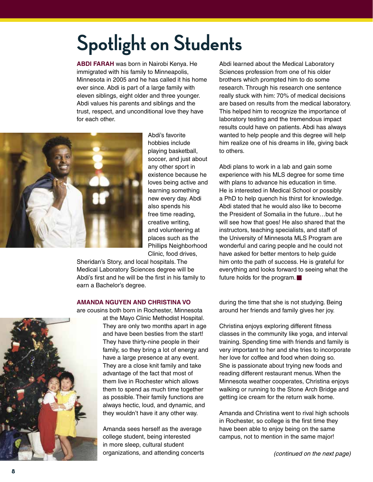# **Spotlight on Students**

**ABDI FARAH** was born in Nairobi Kenya. He immigrated with his family to Minneapolis, Minnesota in 2005 and he has called it his home ever since. Abdi is part of a large family with eleven siblings, eight older and three younger. Abdi values his parents and siblings and the trust, respect, and unconditional love they have for each other.



Abdi's favorite hobbies include playing basketball, soccer, and just about any other sport in existence because he loves being active and learning something new every day. Abdi also spends his free time reading, creative writing, and volunteering at places such as the Phillips Neighborhood Clinic, food drives,

Sheridan's Story, and local hospitals. The Medical Laboratory Sciences degree will be Abdi's first and he will be the first in his family to earn a Bachelor's degree.

#### **AMANDA NGUYEN AND CHRISTINA VO**

are cousins both born in Rochester, Minnesota

at the Mayo Clinic Methodist Hospital. They are only two months apart in age and have been besties from the start! They have thirty-nine people in their family, so they bring a lot of energy and have a large presence at any event. They are a close knit family and take advantage of the fact that most of them live in Rochester which allows them to spend as much time together as possible. Their family functions are always hectic, loud, and dynamic, and they wouldn't have it any other way.

Amanda sees herself as the average college student, being interested in more sleep, cultural student organizations, and attending concerts Abdi learned about the Medical Laboratory Sciences profession from one of his older brothers which prompted him to do some research. Through his research one sentence really stuck with him: 70% of medical decisions are based on results from the medical laboratory. This helped him to recognize the importance of laboratory testing and the tremendous impact results could have on patients. Abdi has always wanted to help people and this degree will help him realize one of his dreams in life, giving back to others.

Abdi plans to work in a lab and gain some experience with his MLS degree for some time with plans to advance his education in time. He is interested in Medical School or possibly a PhD to help quench his thirst for knowledge. Abdi stated that he would also like to become the President of Somalia in the future…but he will see how that goes! He also shared that the instructors, teaching specialists, and staff of the University of Minnesota MLS Program are wonderful and caring people and he could not have asked for better mentors to help guide him onto the path of success. He is grateful for everything and looks forward to seeing what the future holds for the program.

during the time that she is not studying. Being around her friends and family gives her joy.

Christina enjoys exploring different fitness classes in the community like yoga, and interval training. Spending time with friends and family is very important to her and she tries to incorporate her love for coffee and food when doing so. She is passionate about trying new foods and reading different restaurant menus. When the Minnesota weather cooperates, Christina enjoys walking or running to the Stone Arch Bridge and getting ice cream for the return walk home.

Amanda and Christina went to rival high schools in Rochester, so college is the first time they have been able to enjoy being on the same campus, not to mention in the same major!

*(continued on the next page)*

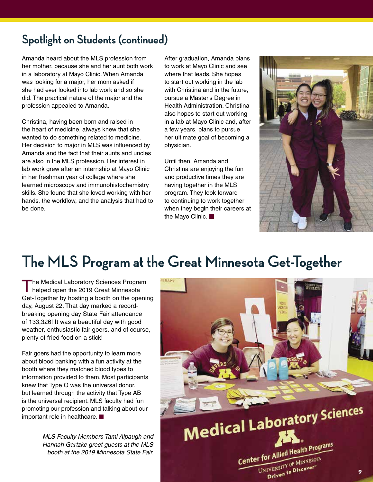### **Spotlight on Students (continued)**

Amanda heard about the MLS profession from her mother, because she and her aunt both work in a laboratory at Mayo Clinic. When Amanda was looking for a major, her mom asked if she had ever looked into lab work and so she did. The practical nature of the major and the profession appealed to Amanda.

Christina, having been born and raised in the heart of medicine, always knew that she wanted to do something related to medicine. Her decision to major in MLS was influenced by Amanda and the fact that their aunts and uncles are also in the MLS profession. Her interest in lab work grew after an internship at Mayo Clinic in her freshman year of college where she learned microscopy and immunohistochemistry skills. She found that she loved working with her hands, the workflow, and the analysis that had to be done.

After graduation, Amanda plans to work at Mayo Clinic and see where that leads. She hopes to start out working in the lab with Christina and in the future, pursue a Master's Degree in Health Administration. Christina also hopes to start out working in a lab at Mayo Clinic and, after a few years, plans to pursue her ultimate goal of becoming a physician.

Until then, Amanda and Christina are enjoying the fun and productive times they are having together in the MLS program. They look forward to continuing to work together when they begin their careers at the Mayo Clinic.



## **The MLS Program at the Great Minnesota Get-Together**

The Medical Laboratory Sciences Program helped open the 2019 Great Minnesota Get-Together by hosting a booth on the opening day, August 22. That day marked a recordbreaking opening day State Fair attendance of 133,326! It was a beautiful day with good weather, enthusiastic fair goers, and of course, plenty of fried food on a stick!

Fair goers had the opportunity to learn more about blood banking with a fun activity at the booth where they matched blood types to information provided to them. Most participants knew that Type O was the universal donor, but learned through the activity that Type AB is the universal recipient. MLS faculty had fun promoting our profession and talking about our important role in healthcare.

> *MLS Faculty Members Tami Alpaugh and Hannah Gartzke greet guests at the MLS booth at the 2019 Minnesota State Fair.*

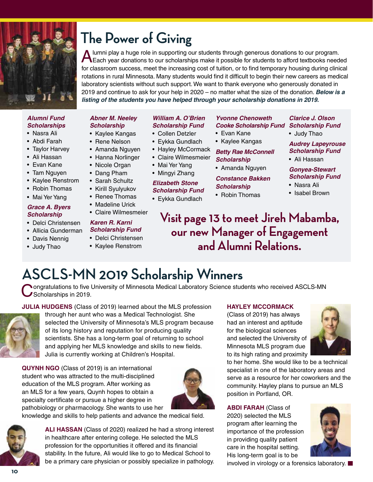

# **The Power of Giving**

A lumni play a huge role in supporting our students through generous donations to our program.<br>A Each year donations to our scholarships make it possible for students to afford textbooks needed for classroom success, meet the increasing cost of tuition, or to find temporary housing during clinical rotations in rural Minnesota. Many students would find it difficult to begin their new careers as medical laboratory scientists without such support. We want to thank everyone who generously donated in 2019 and continue to ask for your help in 2020 – no matter what the size of the donation. *Below is a listing of the students you have helped through your scholarship donations in 2019.*

#### *Alumni Fund Scholarships*

- • Nasra Ali
- • Abdi Farah
- Taylor Harvey
- • Ali Hassan
- • Evan Kane
- Tam Nguyen
- • Kaylee Renstrom
- Robin Thomas
- Mai Yer Yang

#### *Grace A. Byers Scholarship*

- • Delci Christensen
- • Allicia Gunderman
- Davis Nennig
- Judy Thao

#### *Abner M. Neeley Scholarship*

- Kaylee Kangas
- Rene Nelson
- Amanda Nguyen
- Hanna Norlinger
- Nicole Organ
- Dang Pham
- Sarah Schultz
	- Kirill Syulyukov
	- Renee Thomas
	- Madeline Urick
	- • Claire Wilmesmeier

#### *Karen R. Karni Scholarship Fund*

- • Delci Christensen
- Kaylee Renstrom
- 

#### *William A. O'Brien Scholarship Fund*

- Collen Detzler
- Eykka Gundlach
- Hayley McCormack
- • Claire Wilmesmeier
- Mai Yer Yang
- 

#### *Elizabeth Stone Scholarship Fund*

#### • Eykka Gundlach

#### *Yvonne Chenoweth Cooke Scholarship Fund Scholarship Fund*

- • Evan Kane
- Kaylee Kangas

*Betty Rae McConnell Scholarship*

• Amanda Nguyen

*Constance Bakken Scholarship*

• Robin Thomas

### *Clarice J. Olson*

• Judy Thao

*Audrey Lapeyrouse Scholarship Fund*

• Ali Hassan

#### *Gonyea-Stewart Scholarship Fund*

- • Nasra Ali
- Isabel Brown
- **Visit page 13 to meet Jireh Mabamba, our new Manager of Engagement and Alumni Relations.**

# **ASCLS-MN 2019 Scholarship Winners**

**Nongratulations to five University of Minnesota Medical Laboratory Science students who received ASCLS-MN** Scholarships in 2019.

**JULIA HUDGENS** (Class of 2019) learned about the MLS profession



through her aunt who was a Medical Technologist. She selected the University of Minnesota's MLS program because of its long history and reputation for producing quality scientists. She has a long-term goal of returning to school and applying her MLS knowledge and skills to new fields. Julia is currently working at Children's Hospital.

**QUYNH NGO** (Class of 2019) is an international student who was attracted to the multi-disciplined education of the MLS program. After working as an MLS for a few years, Quynh hopes to obtain a specialty certificate or pursue a higher degree in pathobiology or pharmacology. She wants to use her



knowledge and skills to help patients and advance the medical field.



**ALI HASSAN** (Class of 2020) realized he had a strong interest in healthcare after entering college. He selected the MLS profession for the opportunities it offered and its financial stability. In the future, Ali would like to go to Medical School to be a primary care physician or possibly specialize in pathology.

#### **HAYLEY MCCORMACK**

(Class of 2019) has always had an interest and aptitude for the biological sciences and selected the University of Minnesota MLS program due to its high rating and proximity



to her home. She would like to be a technical specialist in one of the laboratory areas and serve as a resource for her coworkers and the community. Hayley plans to pursue an MLS position in Portland, OR.

**ABDI FARAH** (Class of 2020) selected the MLS program after learning the importance of the profession in providing quality patient care in the hospital setting. His long-term goal is to be



involved in virology or a forensics laboratory.

- 
- Mingyi Zhang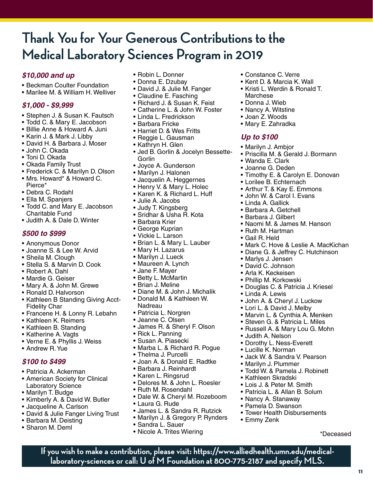### **Thank You for Your Generous Contributions to the Medical Laboratory Sciences Program in 2019**

#### *\$10,000 and up*

- Beckman Coulter Foundation
- • Marilee M. & William H. Welliver

#### *\$1,000 - \$9,999*

- Stephen J. & Susan K. Fautsch
- Todd C. & Mary E. Jacobson
- • Billie Anne & Howard A. Juni
- • Karin J. & Mark J. Libby
- • David H. & Barbara J. Moser
- • John C. Okada
- Toni D. Okada
- • Okada Family Trust
- Frederick C. & Marilyn D. Olson
- Mrs. Howard\* & Howard C. Pierce\*
- • Debra C. Rodahl
- • Ella M. Spanjers
- Todd C. and Mary E. Jacobson Charitable Fund
- • Judith A. & Dale D. Winter

#### *\$500 to \$999*

- • Anonymous Donor
- • Joanne S. & Lee W. Arvid
- Sheila M. Clough
- • Stella S. & Marvin D. Cook
- • Robert A. Dahl
- • Mardie G. Geiser
- Mary A. & John M. Grewe
- Ronald D. Halvorson
- Kathleen B Standing Giving Acct-Fidelity Char
- • Francene H. & Lonny R. Lebahn
- • Kathleen K. Reimers
- Kathleen B. Standing
- Katherine A. Vagts
- • Verne E. & Phyllis J. Weiss
- • Andrew R. Yue

#### *\$100 to \$499*

- • Patricia A. Ackerman
- American Society for Clinical Laboratory Science
- Marilyn T. Budge
- Kimberly A. & David W. Butler
- Jacqueline A. Carlson
- David & Julie Fanger Living Trust
- • Barbara M. Deisting
- • Sharon M. Deml
- Robin L. Donner
- Donna E. Dzubav
- David J. & Julie M. Fanger
- Claudine E. Fasching
- Richard J. & Susan K. Feist
- • Catherine L. & John W. Foster
- • Linda L. Fredrickson
- • Barbara Fricke
- • Harriet D. & Wes Fritts
- • Reggie L. Gausman
- Kathryn H. Glen
- Jed B. Gorlin & Jocelyn Bessette-Gorlin
- Joyce A. Gunderson
- • Marilyn J. Halonen
- Jacquelin A. Heggernes
- Henry V. & Mary L. Holec
- • Karen K. & Richard L. Huff
- • Julie A. Jacobs
- Judy T. Kingsberg
- Sridhar & Usha R. Kota
- • Barbara Krier
- • George Kuprian
- • Vickie L. Larson
- • Brian L. & Mary L. Lauber
- Mary H. Lazarus
- Marilyn J. Lueck
- Maureen A. Lynch
- • Jane F. Mayer
- • Betty L. McMartin
- • Brian J. Meline
- • Diane M. & John J. Michalik
- • Donald M. & Kathleen W. Nadreau
- • Patricia L. Norgren
- • Jeanne C. Olsen
- • James R. & Sheryl F. Olson
- Rick L. Panning
- • Susan A. Piasecki
- • Marba L. & Richard R. Pogue
- • Thelma J. Purcelli
- • Joan A. & Donald E. Radtke
- • Barbara J. Reinhardt
- • Karen L. Ringsrud
- • Delores M. & John L. Roesler
- Ruth M. Rosendahl
- Dale W. & Cheryl M. Rozeboom
- • Laura G. Rude
- • James L. & Sandra R. Rutzick
- Marilyn J. & Gregory P. Rynders

**If you wish to make a contribution, please visit: https://www.alliedhealth.umn.edu/medicallaboratory-sciences or call: U of M Foundation at 800-775-2187 and specify MLS.**

- • Sandra L. Sauer
- Nicole A. Trites Wiering
- • Constance C. Verre
- • Kent D. & Marcia K. Wall
- Kristi L. Werdin & Ronald T. Marchese

• Priscilla M. & Gerald J. Bormann

• Timothy E. & Carolyn E. Donovan

• Naomi M. & James M. Hanson

• Douglas C. & Patricia J. Kriesel

• Marvin L. & Cynthia A. Menken • Steven G. & Patricia L. Miles • Russell A. & Mary Lou G. Mohn

• John A. & Cheryl J. Luckow • Lori L. & David J. Melby

• Mark C. Hove & Leslie A. MacKichan • Diane G. & Jeffrey C. Hutchinson

**11**

\*Deceased

- • Donna J. Wieb
- Nancy A. Witstine

• Marilyn J. Ambjor

• Wanda E. Clark • Joanne G. Deden

• Linda A. Gallick • Barbara A. Getchell • Barbara J. Gilbert

• Ruth M. Hartman • Gail R. Held

• Marlys J. Jensen • David C. Johnson • Arla K. Keckeisen • Phillip M. Korkowski

• Linda A. Lewis

• Judith A. Nelson

• Marilyn J. Plummer

• Kathleen Skradski • Lois J. & Peter M. Smith • Patricia L. & Allan B. Solum

• Nancy A. Stanaway • Pamela D. Swanson

• Emmy Zenk

• Dorothy L. Ness-Everett • Lucille K. Norman

• Jack W. & Sandra V. Pearson

• Todd W. & Pamela J. Robinett

• Tower Health Disbursements

• Lorilee B. Echternach • Arthur T. & Kay E. Emmons • John W. & Carol I. Evans

• Joan Z. Woods • Mary E. Zahradka

*Up to \$100*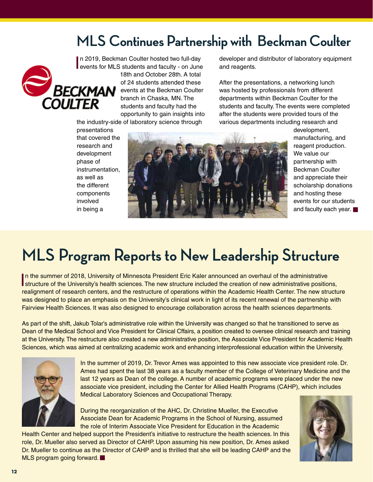### **MLS Continues Partnership with Beckman Coulter**



In 2019, Beckman Coulter hosted two full-day<br>events for MLS students and faculty - on June n 2019, Beckman Coulter hosted two full-day 18th and October 28th. A total of 24 students attended these events at the Beckman Coulter branch in Chaska, MN. The students and faculty had the opportunity to gain insights into

the industry-side of laboratory science through

developer and distributor of laboratory equipment and reagents.

After the presentations, a networking lunch was hosted by professionals from different departments within Beckman Coulter for the students and faculty. The events were completed after the students were provided tours of the various departments including research and

presentations that covered the research and development phase of instrumentation, as well as the different components involved in being a



development, manufacturing, and reagent production. We value our partnership with Beckman Coulter and appreciate their scholarship donations and hosting these events for our students and faculty each year.

# **MLS Program Reports to New Leadership Structure**

In the summer of 2018, University of Minnesota President Eric Kaler announced an overhaul of the administrative positions,<br>In the summer of the University's health sciences. The new structure included the creation of new a In the summer of 2018, University of Minnesota President Eric Kaler announced an overhaul of the administrative realignment of research centers, and the restructure of operations within the Academic Health Center. The new structure was designed to place an emphasis on the University's clinical work in light of its recent renewal of the partnership with Fairview Health Sciences. It was also designed to encourage collaboration across the health sciences departments.

As part of the shift, Jakub Tolar's administrative role within the University was changed so that he transitioned to serve as Dean of the Medical School and Vice President for Clinical Cffairs, a position created to oversee clinical research and training at the University. The restructure also created a new administrative position, the Associate Vice President for Academic Health Sciences, which was aimed at centralizing academic work and enhancing interprofessional education within the University.



In the summer of 2019, Dr. Trevor Ames was appointed to this new associate vice president role. Dr. Ames had spent the last 38 years as a faculty member of the College of Veterinary Medicine and the last 12 years as Dean of the college. A number of academic programs were placed under the new associate vice president, including the Center for Allied Health Programs (CAHP), which includes Medical Laboratory Sciences and Occupational Therapy.

During the reorganization of the AHC, Dr. Christine Mueller, the Executive Associate Dean for Academic Programs in the School of Nursing, assumed the role of Interim Associate Vice President for Education in the Academic

Health Center and helped support the President's initiative to restructure the health sciences. In this role, Dr. Mueller also served as Director of CAHP. Upon assuming his new position, Dr. Ames asked Dr. Mueller to continue as the Director of CAHP and is thrilled that she will be leading CAHP and the MLS program going forward.

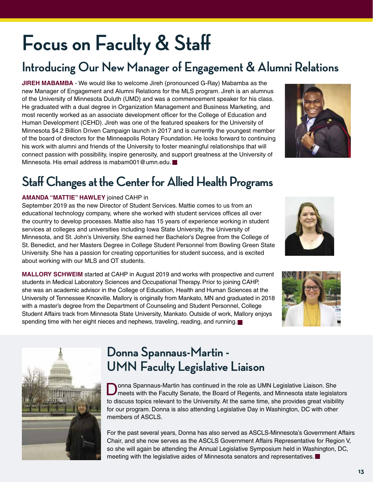# **Focus on Faculty & Staff**

### **Introducing Our New Manager of Engagement & Alumni Relations**

**JIREH MABAMBA** - We would like to welcome Jireh (pronounced G-Ray) Mabamba as the new Manager of Engagement and Alumni Relations for the MLS program. Jireh is an alumnus of the University of Minnesota Duluth (UMD) and was a commencement speaker for his class. He graduated with a dual degree in Organization Management and Business Marketing, and most recently worked as an associate development officer for the College of Education and Human Development (CEHD). Jireh was one of the featured speakers for the University of Minnesota \$4.2 Billion Driven Campaign launch in 2017 and is currently the youngest member of the board of directors for the Minneapolis Rotary Foundation. He looks forward to continuing his work with alumni and friends of the University to foster meaningful relationships that will connect passion with possibility, inspire generosity, and support greatness at the University of Minnesota. His email address is mabam001@umn.edu.

### **Staff Changes at the Center for Allied Health Programs**

#### **AMANDA "MATTIE" HAWLEY** joined CAHP in

September 2019 as the new Director of Student Services. Mattie comes to us from an educational technology company, where she worked with student services offices all over the country to develop processes. Mattie also has 15 years of experience working in student services at colleges and universities including Iowa State University, the University of Minnesota, and St. John's University. She earned her Bachelor's Degree from the College of St. Benedict, and her Masters Degree in College Student Personnel from Bowling Green State University. She has a passion for creating opportunities for student success, and is excited about working with our MLS and OT students.

**MALLORY SCHWEIM** started at CAHP in August 2019 and works with prospective and current students in Medical Laboratory Sciences and Occupational Therapy. Prior to joining CAHP, she was an academic advisor in the College of Education, Health and Human Sciences at the University of Tennessee Knoxville. Mallory is originally from Mankato, MN and graduated in 2018 with a master's degree from the Department of Counseling and Student Personnel, College Student Affairs track from Minnesota State University, Mankato. Outside of work, Mallory enjoys spending time with her eight nieces and nephews, traveling, reading, and running.



onna Spannaus-Martin has continued in the role as UMN Legislative Liaison. She meets with the Faculty Senate, the Board of Regents, and Minnesota state legislators to discuss topics relevant to the University. At the same time, she provides great visibility for our program. Donna is also attending Legislative Day in Washington, DC with other members of ASCLS.

For the past several years, Donna has also served as ASCLS-Minnesota's Government Affairs Chair, and she now serves as the ASCLS Government Affairs Representative for Region V, so she will again be attending the Annual Legislative Symposium held in Washington, DC, meeting with the legislative aides of Minnesota senators and representatives.







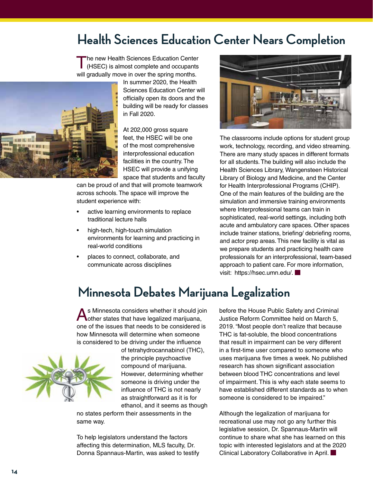### **Health Sciences Education Center Nears Completion**

The new Health Sciences Education Center<br>
(HSEC) is almost complete and occupants will gradually move in over the spring months.

In summer 2020, the Health Sciences Education Center will officially open its doors and the building will be ready for classes in Fall 2020. At 202,000 gross square

feet, the HSEC will be one of the most comprehensive interprofessional education facilities in the country. The HSEC will provide a unifying space that students and faculty

can be proud of and that will promote teamwork across schools. The space will improve the student experience with:

- active learning environments to replace traditional lecture halls
- • high-tech, high-touch simulation environments for learning and practicing in real-world conditions
- places to connect, collaborate, and communicate across disciplines



The classrooms include options for student group work, technology, recording, and video streaming. There are many study spaces in different formats for all students. The building will also include the Health Sciences Library, Wangensteen Historical Library of Biology and Medicine, and the Center for Health Interprofessional Programs (CHIP). One of the main features of the building are the simulation and immersive training environments where Interprofessional teams can train in sophisticated, real-world settings, including both acute and ambulatory care spaces. Other spaces include trainer stations, briefing/ debriefing rooms, and actor prep areas. This new facility is vital as we prepare students and practicing health care professionals for an interprofessional, team-based approach to patient care. For more information, visit: https://hsec.umn.edu/.

### **Minnesota Debates Marijuana Legalization**

As Minnesota considers whether it should join other states that have legalized marijuana, one of the issues that needs to be considered is how Minnesota will determine when someone is considered to be driving under the influence



 $1 - 11 - 181 - 1$ 

of tetrahydrocannabinol (THC), the principle psychoactive compound of marijuana. However, determining whether someone is driving under the influence of THC is not nearly as straightforward as it is for ethanol, and it seems as though

no states perform their assessments in the same way.

To help legislators understand the factors affecting this determination, MLS faculty, Dr. Donna Spannaus-Martin, was asked to testify before the House Public Safety and Criminal Justice Reform Committee held on March 5, 2019. "Most people don't realize that because THC is fat-soluble, the blood concentrations that result in impairment can be very different in a first-time user compared to someone who uses marijuana five times a week. No published research has shown significant association between blood THC concentrations and level of impairment. This is why each state seems to have established different standards as to when someone is considered to be impaired."

Although the legalization of marijuana for recreational use may not go any further this legislative session, Dr. Spannaus-Martin will continue to share what she has learned on this topic with interested legislators and at the 2020 Clinical Laboratory Collaborative in April.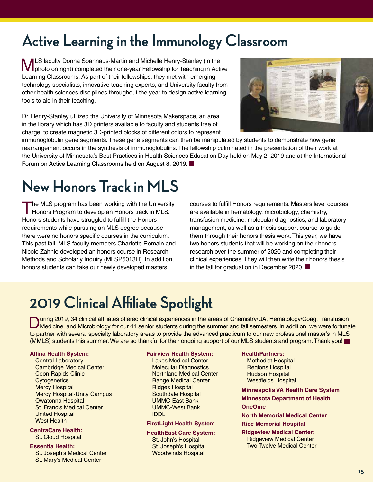# **Active Learning in the Immunology Classroom**

**MLS** faculty Donna Spannaus-Martin and Michelle Henry-Stanley (in the photo on right) completed their one-year Fellowship for Teaching in Active Learning Classrooms. As part of their fellowships, they met with emerging technology specialists, innovative teaching experts, and University faculty from other health sciences disciplines throughout the year to design active learning tools to aid in their teaching.

Dr. Henry-Stanley utilized the University of Minnesota Makerspace, an area in the library which has 3D printers available to faculty and students free of charge, to create magnetic 3D-printed blocks of different colors to represent



immunoglobulin gene segments. These gene segments can then be manipulated by students to demonstrate how gene rearrangement occurs in the synthesis of immunoglobulins. The fellowship culminated in the presentation of their work at the University of Minnesota's Best Practices in Health Sciences Education Day held on May 2, 2019 and at the International Forum on Active Learning Classrooms held on August 8, 2019.

# **New Honors Track in MLS**

The MLS program has been working with the University Honors Program to develop an Honors track in MLS. Honors students have struggled to fulfill the Honors requirements while pursuing an MLS degree because there were no honors specific courses in the curriculum. This past fall, MLS faculty members Charlotte Romain and Nicole Zahnle developed an honors course in Research Methods and Scholarly Inquiry (MLSP5013H). In addition, honors students can take our newly developed masters

courses to fulfill Honors requirements. Masters level courses are available in hematology, microbiology, chemistry, transfusion medicine, molecular diagnostics, and laboratory management, as well as a thesis support course to guide them through their honors thesis work. This year, we have two honors students that will be working on their honors research over the summer of 2020 and completing their clinical experiences. They will then write their honors thesis in the fall for graduation in December 2020.

# **2019 Clinical Affiliate Spotlight**

During 2019, 34 clinical affiliates offered clinical experiences in the areas of Chemistry/UA, Hematology/Coag, Transfusion<br>Medicine, and Microbiology for our 41 senior students during the summer and fall semesters. In add to partner with several specialty laboratory areas to provide the advanced practicum to our new professional master's in MLS (MMLS) students this summer. We are so thankful for their ongoing support of our MLS students and program. Thank you!

#### **Allina Health System:**

Central Laboratory Cambridge Medical Center Coon Rapids Clinic **Cytogenetics** Mercy Hospital Mercy Hospital-Unity Campus Owatonna Hospital St. Francis Medical Center United Hospital West Health

#### **CentraCare Health:**

St. Cloud Hospital

#### **Essentia Health:**

St. Joseph's Medical Center St. Mary's Medical Center

#### **Fairview Health System:**

Lakes Medical Center Molecular Diagnostics Northland Medical Center Range Medical Center Ridges Hospital Southdale Hospital UMMC-East Bank UMMC-West Bank IDDL

#### **FirstLight Health System**

**HealthEast Care System:**

St. John's Hospital St. Joseph's Hospital Woodwinds Hospital

#### **HealthPartners:**

Methodist Hospital Regions Hospital Hudson Hospital Westfields Hospital

**Minneapolis VA Health Care System**

**Minnesota Department of Health** 

#### **OneOme**

**North Memorial Medical Center**

**Rice Memorial Hospital**

**Ridgeview Medical Center:** Ridgeview Medical Center Two Twelve Medical Center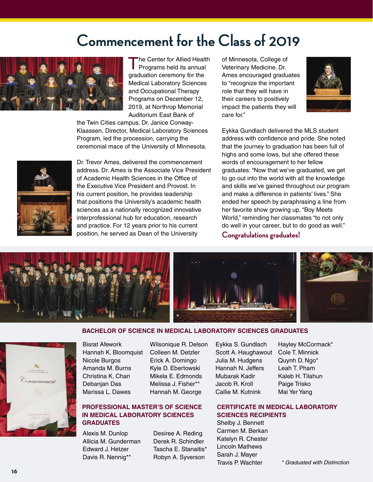## **Commencement for the Class of 2019**



The Center for Allied Health<br>Programs held its annual graduation ceremony for the Medical Laboratory Sciences and Occupational Therapy Programs on December 12, 2019, at Northrop Memorial Auditorium East Bank of

the Twin Cities campus. Dr. Janice Conway-Klaassen, Director, Medical Laboratory Sciences Program, led the procession, carrying the ceremonial mace of the University of Minnesota.

Dr. Trevor Ames, delivered the commencement address. Dr. Ames is the Associate Vice President of Academic Health Sciences in the Office of the Executive Vice President and Provost. In his current position, he provides leadership that positions the University's academic health sciences as a nationally recognized innovative interprofessional hub for education, research and practice. For 12 years prior to his current position, he served as Dean of the University

of Minnesota, College of Veterinary Medicine. Dr. Ames encouraged graduates to "recognize the important role that they will have in their careers to positively impact the patients they will care for."



Eykka Gundlach delivered the MLS student address with confidence and pride. She noted that the journey to graduation has been full of highs and some lows, but she offered these words of encouragement to her fellow graduates: "Now that we've graduated, we get to go out into the world with all the knowledge and skills we've gained throughout our program and make a difference in patients' lives." She ended her speech by paraphrasing a line from her favorite show growing up, "Boy Meets World," reminding her classmates "to not only do well in your career, but to do good as well."

**Congratulations graduates!**



#### **BACHELOR OF SCIENCE IN MEDICAL LABORATORY SCIENCES GRADUATES**



Bisrat Afework Hannah K. Bloomquist Nicole Burgos Amanda M. Burns Christina K. Chan Debanjan Das Marissa L. Dawes

Wilsonique R. Delson Colleen M. Detzler Erick A. Domingo Kyle D. Ebertowski Mikela E. Edmonds Melissa J. Fisher\*\* Hannah M. George

#### **PROFESSIONAL MASTER'S OF SCIENCE IN MEDICAL LABORATORY SCIENCES GRADUATES**

Alexis M. Dunlop Allicia M. Gunderman Edward J. Hetzer Davis R. Nennig\*\*

Desiree A. Reding Derek R. Schindler Tascha E. Stanaitis\* Robyn A. Syverson

Eykka S. Gundlach Scott A. Haughawout Julia M. Hudgens Hannah N. Jeffers Mubarak Kadir Jacob R. Kroll Callie M. Kutnink

Hayley McCormack\* Cole T. Minnick Quynh D. Ngo\* Leah T. Pham Kaleb H. Tilahun Paige Trisko Mai Yer Yang

#### **CERTIFICATE IN MEDICAL LABORATORY SCIENCES RECIPIENTS**

Shelby J. Bennett Carmen M. Berkan Katelyn R. Chester Lincoln Mathews Sarah J. Mayer Travis P. Wachter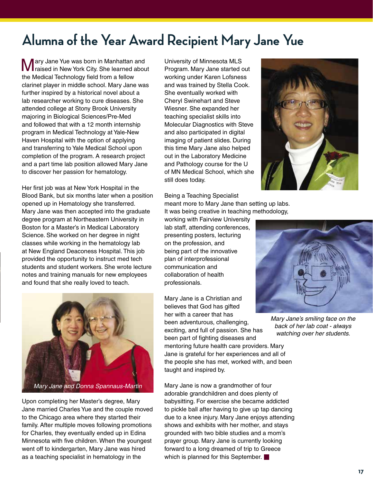## **Alumna of the Year Award Recipient Mary Jane Yue**

Mary Jane Yue was born in Manhattan and raised in New York City. She learned about the Medical Technology field from a fellow clarinet player in middle school. Mary Jane was further inspired by a historical novel about a lab researcher working to cure diseases. She attended college at Stony Brook University majoring in Biological Sciences/Pre-Med and followed that with a 12 month internship program in Medical Technology at Yale-New Haven Hospital with the option of applying and transferring to Yale Medical School upon completion of the program. A research project and a part time lab position allowed Mary Jane to discover her passion for hematology.

Her first job was at New York Hospital in the Blood Bank, but six months later when a position opened up in Hematology she transferred. Mary Jane was then accepted into the graduate degree program at Northeastern University in Boston for a Master's in Medical Laboratory Science. She worked on her degree in night classes while working in the hematology lab at New England Deaconess Hospital. This job provided the opportunity to instruct med tech students and student workers. She wrote lecture notes and training manuals for new employees and found that she really loved to teach.



Upon completing her Master's degree, Mary Jane married Charles Yue and the couple moved to the Chicago area where they started their family. After multiple moves following promotions for Charles, they eventually ended up in Edina Minnesota with five children. When the youngest went off to kindergarten, Mary Jane was hired as a teaching specialist in hematology in the

University of Minnesota MLS Program. Mary Jane started out working under Karen Lofsness and was trained by Stella Cook. She eventually worked with Cheryl Swinehart and Steve Wiesner. She expanded her teaching specialist skills into Molecular Diagnostics with Steve and also participated in digital imaging of patient slides. During this time Mary Jane also helped out in the Laboratory Medicine and Pathology course for the U of MN Medical School, which she still does today.



Being a Teaching Specialist meant more to Mary Jane than setting up labs. It was being creative in teaching methodology,

working with Fairview University lab staff, attending conferences, presenting posters, lecturing on the profession, and being part of the innovative plan of interprofessional communication and collaboration of health professionals.

Mary Jane is a Christian and believes that God has gifted her with a career that has been adventurous, challenging, exciting, and full of passion. She has been part of fighting diseases and mentoring future health care providers. Mary Jane is grateful for her experiences and all of the people she has met, worked with, and been taught and inspired by.

Mary Jane is now a grandmother of four adorable grandchildren and does plenty of babysitting. For exercise she became addicted to pickle ball after having to give up tap dancing due to a knee injury. Mary Jane enjoys attending shows and exhibits with her mother, and stays grounded with two bible studies and a mom's prayer group. Mary Jane is currently looking forward to a long dreamed of trip to Greece which is planned for this September.



*Mary Jane's smiling face on the back of her lab coat - always watching over her students.*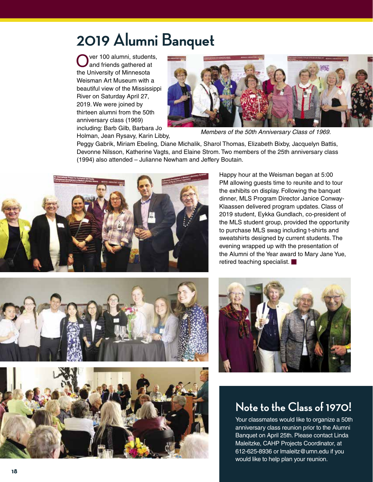# **2019 Alumni Banquet**

ver 100 alumni, students, and friends gathered at the University of Minnesota Weisman Art Museum with a beautiful view of the Mississippi River on Saturday April 27, 2019. We were joined by thirteen alumni from the 50th anniversary class (1969) including: Barb Gilb, Barbara Jo Holman, Jean Rysavy, Karin Libby,



*Members of the 50th Anniversary Class of 1969.*

Peggy Gabrik, Miriam Ebeling, Diane Michalik, Sharol Thomas, Elizabeth Bixby, Jacquelyn Battis, Devonne Nilsson, Katherine Vagts, and Elaine Strom. Two members of the 25th anniversary class (1994) also attended – Julianne Newham and Jeffery Boutain.



Happy hour at the Weisman began at 5:00 PM allowing guests time to reunite and to tour the exhibits on display. Following the banquet dinner, MLS Program Director Janice Conway-Klaassen delivered program updates. Class of 2019 student, Eykka Gundlach, co-president of the MLS student group, provided the opportunity to purchase MLS swag including t-shirts and sweatshirts designed by current students. The evening wrapped up with the presentation of the Alumni of the Year award to Mary Jane Yue, retired teaching specialist.







### **Note to the Class of 1970!**

Your classmates would like to organize a 50th anniversary class reunion prior to the Alumni Banquet on April 25th. Please contact Linda Maleitzke, CAHP Projects Coordinator, at 612-625-8936 or lmaleitz@umn.edu if you would like to help plan your reunion.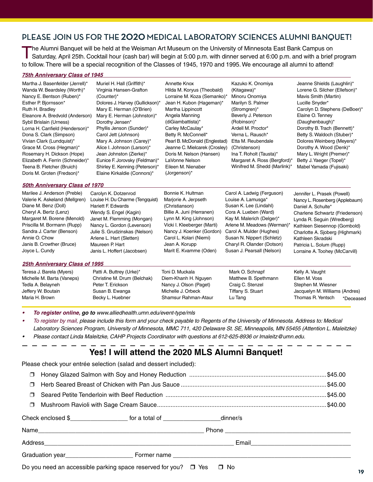#### **PLEASE JOIN US FOR THE 2020 MEDICAL LABORATORY SCIENCES ALUMNI BANQUET!**

The Alumni Banquet will be held at the Weisman Art Museum on the University of Minnesota East Bank Campus on<br>Saturday, April 25th. Cocktail hour (cash bar) will begin at 5:00 p.m. with dinner served at 6:00 p.m. and with a to follow. There will be a special recognition of the Classes of 1945, 1970 and 1995. We encourage all alumni to attend!

#### *75th Anniversary Class of 1945*

| Martha J. Basenfelder (Jerrell)*<br>Wanda W. Beardsley (Worth)*<br>Nancy E. Bentson (Ruben)*<br>Esther P. Bjornsson*<br>Ruth H. Bradley<br>Eleanore A. Bredvold (Anderson)<br>Sybil Brislain (Urness)<br>Lorna H. Canfield (Henderson)*<br>Dona S. Clark (Simpson)<br>Vivian Clark (Lundquist)*<br>Grace M. Cross (Hegman)*<br>Rosemary H. Dickson (Hope)<br>Elizabeth A. Ferrin (Schneider)*<br>Teena B. Fletcher (Bruich)<br>Doris M. Groten (Fredson)*<br><b>50th Anniversary Class of 1970</b> | Muriel H. Hall (Griffith)*<br>Virginia Hansen-Grafton<br>(Counter)*<br>Dolores J. Harvey (Gullickson)*<br>Mary E. Herman (O'Brien)<br>Mary E. Herman (Johnston)*<br>Dorothy Jensen*<br>Phyllis Jenson (Sunder)*<br>Carol Jett (Johnson)<br>Mary A. Johnson (Carey)*<br>Alice I. Johnson (Larson)*<br>Jean Johnston (Zierke)*<br>Eunice F. Jorovsky (Feldman)*<br>Shirley E. Kenning (Peterson)*<br>Elaine Kirkaldie (Connors)* | Annette Knox<br>Hilda M. Koryus (Theobald)<br>Lorraine M. Koza (Semanko)*<br>Jean H. Kubon (Hageman)*<br>Martha Lippincott<br>Angela Manning<br>(diGiambattista)*<br>Carley McCaulay*<br>Betty R. McConnell*<br>Pearl B. McDonald (Englestad)<br>Jeanne C. Mielcarek (Crosley)<br>Doris M. Nelson (Hansen)<br>LaVonne Nelson<br>Eileen M. Nienaber<br>(Jorgenson)* | Kazuko K. Onomiya<br>(Kitagawa)*<br>Minoru Onomiya<br>Marilyn S. Palmer<br>(Stromgren)*<br>Beverly J. Peterson<br>(Robinson)*<br>Ardell M. Proctor*<br>Verna L. Rausch*<br>Etta M. Reubendale<br>(Christenson)<br>Ina T. Roholt (Tausta)*<br>Margaret A. Ross (Bergford)*<br>Winifred M. Shedd (Marlink)* | Jeanne Shields (Laughlin)*<br>Lorene G. Silcher (Ellefson)*<br>Mavis Smith (Martin)<br>Lucille Snyder*<br>Carolyn D. Stephens (DeBoer)*<br>Elaine O. Tenney<br>(Daughenbaugh)*<br>Dorothy B. Trach (Bennett)*<br>Betty S. Waldoch (Stuber)*<br>Dolores Weinberg (Meyers)*<br>Dorothy A. Wood (Denk)*<br>Mary L. Wright (Premer)*<br>Betty J. Yaeger (Topel)*<br>Mabel Yamada (Fujisaki) |
|----------------------------------------------------------------------------------------------------------------------------------------------------------------------------------------------------------------------------------------------------------------------------------------------------------------------------------------------------------------------------------------------------------------------------------------------------------------------------------------------------|--------------------------------------------------------------------------------------------------------------------------------------------------------------------------------------------------------------------------------------------------------------------------------------------------------------------------------------------------------------------------------------------------------------------------------|--------------------------------------------------------------------------------------------------------------------------------------------------------------------------------------------------------------------------------------------------------------------------------------------------------------------------------------------------------------------|-----------------------------------------------------------------------------------------------------------------------------------------------------------------------------------------------------------------------------------------------------------------------------------------------------------|-----------------------------------------------------------------------------------------------------------------------------------------------------------------------------------------------------------------------------------------------------------------------------------------------------------------------------------------------------------------------------------------|
|                                                                                                                                                                                                                                                                                                                                                                                                                                                                                                    |                                                                                                                                                                                                                                                                                                                                                                                                                                |                                                                                                                                                                                                                                                                                                                                                                    |                                                                                                                                                                                                                                                                                                           |                                                                                                                                                                                                                                                                                                                                                                                         |
| Marilee J. Anderson (Preble)<br>Valerie K. Askeland (Mellgren)                                                                                                                                                                                                                                                                                                                                                                                                                                     | Carolyn K. Dotzenrod<br>Louise H. Du Charme (Tengquist)                                                                                                                                                                                                                                                                                                                                                                        | Bonnie K. Hultman<br>Marjorie A. Jerpseth                                                                                                                                                                                                                                                                                                                          | Carol A. Ladwig (Ferguson)<br>Louise A. Lamusga*                                                                                                                                                                                                                                                          | Jennifer L. Prasek (Powell)                                                                                                                                                                                                                                                                                                                                                             |
| Diane M. Benz (Doll)                                                                                                                                                                                                                                                                                                                                                                                                                                                                               | Hariett F. Edwards                                                                                                                                                                                                                                                                                                                                                                                                             | (Christianson)                                                                                                                                                                                                                                                                                                                                                     | Susan K. Lee (Lindahl)                                                                                                                                                                                                                                                                                    | Nancy L. Rosenberg (Applebaum)<br>Daniel A. Schulte*                                                                                                                                                                                                                                                                                                                                    |
| Cheryl A. Bertz (Lenz)                                                                                                                                                                                                                                                                                                                                                                                                                                                                             | Wendy S. Engel (Kagin)                                                                                                                                                                                                                                                                                                                                                                                                         | Billie A. Juni (Herranen)                                                                                                                                                                                                                                                                                                                                          | Cora A. Lueben (Ward)                                                                                                                                                                                                                                                                                     | Charlene Schwartz (Friedenson)                                                                                                                                                                                                                                                                                                                                                          |
| Margaret M. Borene (Menold)                                                                                                                                                                                                                                                                                                                                                                                                                                                                        | Janet M. Flemming (Mongan)                                                                                                                                                                                                                                                                                                                                                                                                     | Lynn M. King (Johnson)                                                                                                                                                                                                                                                                                                                                             | Kay M. Malerich (Delger)*                                                                                                                                                                                                                                                                                 | Lynda R. Seguin (Wredberg)                                                                                                                                                                                                                                                                                                                                                              |
| Priscilla M. Bormann (Rupp)                                                                                                                                                                                                                                                                                                                                                                                                                                                                        | Nancy L. Gordon (Levenson)                                                                                                                                                                                                                                                                                                                                                                                                     | Vicki I. Kleeberger (Marti)                                                                                                                                                                                                                                                                                                                                        | Arlene M. Meadows (Werman)*                                                                                                                                                                                                                                                                               | Kathleen Siesennop (Gombold)                                                                                                                                                                                                                                                                                                                                                            |
| Sandra J. Carter (Benson)                                                                                                                                                                                                                                                                                                                                                                                                                                                                          | Julie S. Grudzinskas (Nelson)                                                                                                                                                                                                                                                                                                                                                                                                  | Nancy J. Koenker (Gordon)                                                                                                                                                                                                                                                                                                                                          | Carol A. Mulder (Hughes)                                                                                                                                                                                                                                                                                  | Charlotte A. Sjoberg (Highmark)                                                                                                                                                                                                                                                                                                                                                         |
| Annie O. Chow                                                                                                                                                                                                                                                                                                                                                                                                                                                                                      | Arlene L. Hart (Sletten)                                                                                                                                                                                                                                                                                                                                                                                                       | Carol L. Kolari (Niemi)                                                                                                                                                                                                                                                                                                                                            | Susan N. Nippert (Schletz)                                                                                                                                                                                                                                                                                | Kathleen Skradski                                                                                                                                                                                                                                                                                                                                                                       |
| Janis B. Crowther (Bruce)                                                                                                                                                                                                                                                                                                                                                                                                                                                                          | Maureen P. Hart                                                                                                                                                                                                                                                                                                                                                                                                                | Jean A. Korupp                                                                                                                                                                                                                                                                                                                                                     | Charyl R. Olander (Dotson)                                                                                                                                                                                                                                                                                | Patricia L. Solum (Rupp)                                                                                                                                                                                                                                                                                                                                                                |
| Joyce L. Cundy                                                                                                                                                                                                                                                                                                                                                                                                                                                                                     | Janis L. Hoffert (Jacobsen)                                                                                                                                                                                                                                                                                                                                                                                                    | Marit E. Kvamme (Oden)                                                                                                                                                                                                                                                                                                                                             | Susan J. Pearsall (Nelson)                                                                                                                                                                                                                                                                                | Lorraine A. Toohey (McCarvill)                                                                                                                                                                                                                                                                                                                                                          |
| 25th Anniversary Class of 1995                                                                                                                                                                                                                                                                                                                                                                                                                                                                     |                                                                                                                                                                                                                                                                                                                                                                                                                                |                                                                                                                                                                                                                                                                                                                                                                    |                                                                                                                                                                                                                                                                                                           |                                                                                                                                                                                                                                                                                                                                                                                         |
| Teresa J. Barela (Myers)                                                                                                                                                                                                                                                                                                                                                                                                                                                                           | Patti A. Buttrey (Urke)*                                                                                                                                                                                                                                                                                                                                                                                                       | Toni D. Muckala                                                                                                                                                                                                                                                                                                                                                    | Mark O. Schnapf                                                                                                                                                                                                                                                                                           | Kelly A. Vaught                                                                                                                                                                                                                                                                                                                                                                         |
| Michelle M. Barta (Vaneps)                                                                                                                                                                                                                                                                                                                                                                                                                                                                         | Christine M. Drum (Belchak)                                                                                                                                                                                                                                                                                                                                                                                                    | Diem-Khanh H. Nguyen                                                                                                                                                                                                                                                                                                                                               | Matthew B. Spethmann                                                                                                                                                                                                                                                                                      | Ellen M. Voss                                                                                                                                                                                                                                                                                                                                                                           |
| Tedla A. Belayneh                                                                                                                                                                                                                                                                                                                                                                                                                                                                                  | Peter T. Erickson                                                                                                                                                                                                                                                                                                                                                                                                              | Nancy J. Olson (Paget)                                                                                                                                                                                                                                                                                                                                             | Craig C. Stenzel                                                                                                                                                                                                                                                                                          | Stephen M. Wiesner                                                                                                                                                                                                                                                                                                                                                                      |
| Jeffery W. Boutain                                                                                                                                                                                                                                                                                                                                                                                                                                                                                 | Susan B. Ewanga                                                                                                                                                                                                                                                                                                                                                                                                                | Michelle J. Orbeck                                                                                                                                                                                                                                                                                                                                                 | Tiffany S. Stuart                                                                                                                                                                                                                                                                                         | Jacquelyn M. Williams (Andres)                                                                                                                                                                                                                                                                                                                                                          |
| Maria H. Brown                                                                                                                                                                                                                                                                                                                                                                                                                                                                                     | Becky L. Huebner                                                                                                                                                                                                                                                                                                                                                                                                               | Shamsur Rahman-Ataur                                                                                                                                                                                                                                                                                                                                               | Lu Tang                                                                                                                                                                                                                                                                                                   | Thomas R. Yentsch<br>*Deceased                                                                                                                                                                                                                                                                                                                                                          |
|                                                                                                                                                                                                                                                                                                                                                                                                                                                                                                    |                                                                                                                                                                                                                                                                                                                                                                                                                                |                                                                                                                                                                                                                                                                                                                                                                    |                                                                                                                                                                                                                                                                                                           |                                                                                                                                                                                                                                                                                                                                                                                         |

**•**  *To register online, go to www.alliedhealth.umn.edu/event-type/mls*

- To register by mail, please include this form and your check payable to Regents of the University of Minnesota. Address to: Medical *Laboratory Sciences Program, University of Minnesota, MMC 711, 420 Delaware St. SE, Minneapolis, MN 55455 (Attention L. Maleitzke)*
- Please contact Linda Maleitzke, CAHP Projects Coordinator with questions at 612-625-8936 or Imaleitz@umn.edu.

#### **Yes! I will attend the 2020 MLS Alumni Banquet!**

Please check your entrée selection (salad and dessert included):

| $\Box$ |                                                                                       |  |  |  |
|--------|---------------------------------------------------------------------------------------|--|--|--|
| $\Box$ |                                                                                       |  |  |  |
| $\Box$ |                                                                                       |  |  |  |
| $\Box$ |                                                                                       |  |  |  |
|        | Check enclosed \$_______________________ for a total of _____________________dinner/s |  |  |  |
|        |                                                                                       |  |  |  |
|        |                                                                                       |  |  |  |
|        |                                                                                       |  |  |  |
|        | Do you need an accessible parking space reserved for you? $\Box$ Yes $\Box$ No        |  |  |  |